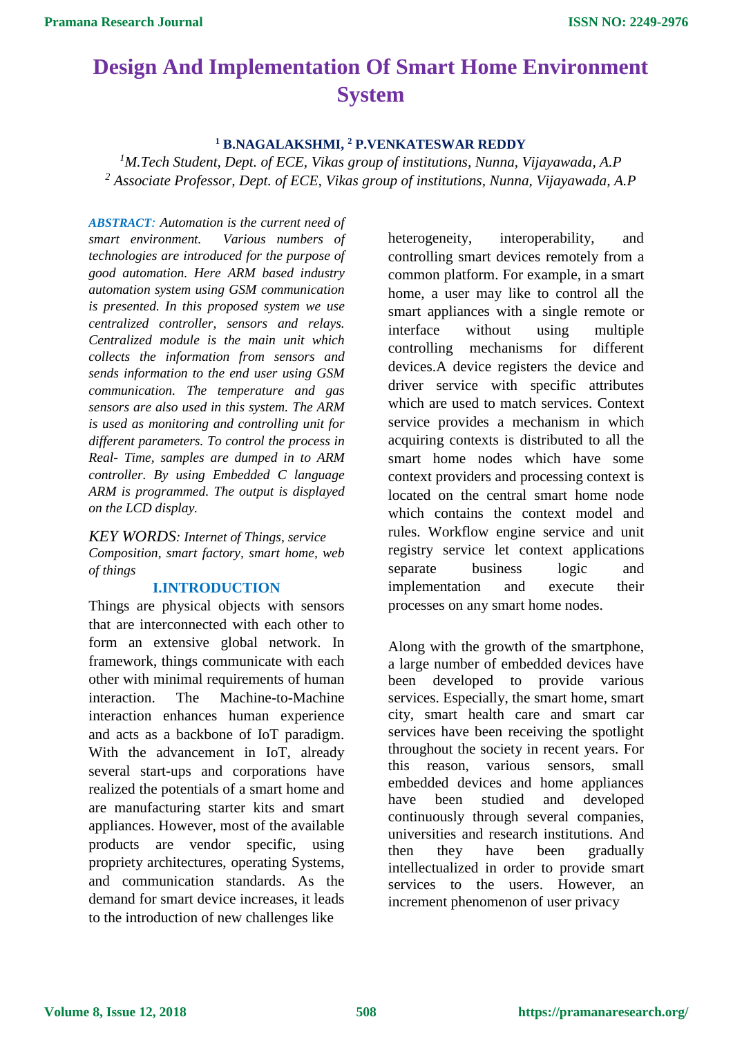# **Design And Implementation Of Smart Home Environment System**

# **<sup>1</sup> B.NAGALAKSHMI, <sup>2</sup> P.VENKATESWAR REDDY**

*<sup>1</sup>M.Tech Student, Dept. of ECE, Vikas group of institutions, Nunna, Vijayawada, A.P <sup>2</sup> Associate Professor, Dept. of ECE, Vikas group of institutions, Nunna, Vijayawada, A.P*

*ABSTRACT: Automation is the current need of smart environment. Various numbers of technologies are introduced for the purpose of good automation. Here ARM based industry automation system using GSM communication is presented. In this proposed system we use centralized controller, sensors and relays. Centralized module is the main unit which collects the information from sensors and sends information to the end user using GSM communication. The temperature and gas sensors are also used in this system. The ARM is used as monitoring and controlling unit for different parameters. To control the process in Real- Time, samples are dumped in to ARM controller. By using Embedded C language ARM is programmed. The output is displayed on the LCD display.* 

*KEY WORDS: Internet of Things, service Composition, smart factory, smart home, web of things*

#### **I.INTRODUCTION**

Things are physical objects with sensors that are interconnected with each other to form an extensive global network. In framework, things communicate with each other with minimal requirements of human interaction. The Machine-to-Machine interaction enhances human experience and acts as a backbone of IoT paradigm. With the advancement in IoT, already several start-ups and corporations have realized the potentials of a smart home and are manufacturing starter kits and smart appliances. However, most of the available products are vendor specific, using propriety architectures, operating Systems, and communication standards. As the demand for smart device increases, it leads to the introduction of new challenges like

heterogeneity, interoperability, and controlling smart devices remotely from a common platform. For example, in a smart home, a user may like to control all the smart appliances with a single remote or interface without using multiple controlling mechanisms for different devices.A device registers the device and driver service with specific attributes which are used to match services. Context service provides a mechanism in which acquiring contexts is distributed to all the smart home nodes which have some context providers and processing context is located on the central smart home node which contains the context model and rules. Workflow engine service and unit registry service let context applications separate business logic and implementation and execute their processes on any smart home nodes.

Along with the growth of the smartphone, a large number of embedded devices have been developed to provide various services. Especially, the smart home, smart city, smart health care and smart car services have been receiving the spotlight throughout the society in recent years. For this reason, various sensors, small embedded devices and home appliances have been studied and developed continuously through several companies, universities and research institutions. And then they have been gradually intellectualized in order to provide smart services to the users. However, an increment phenomenon of user privacy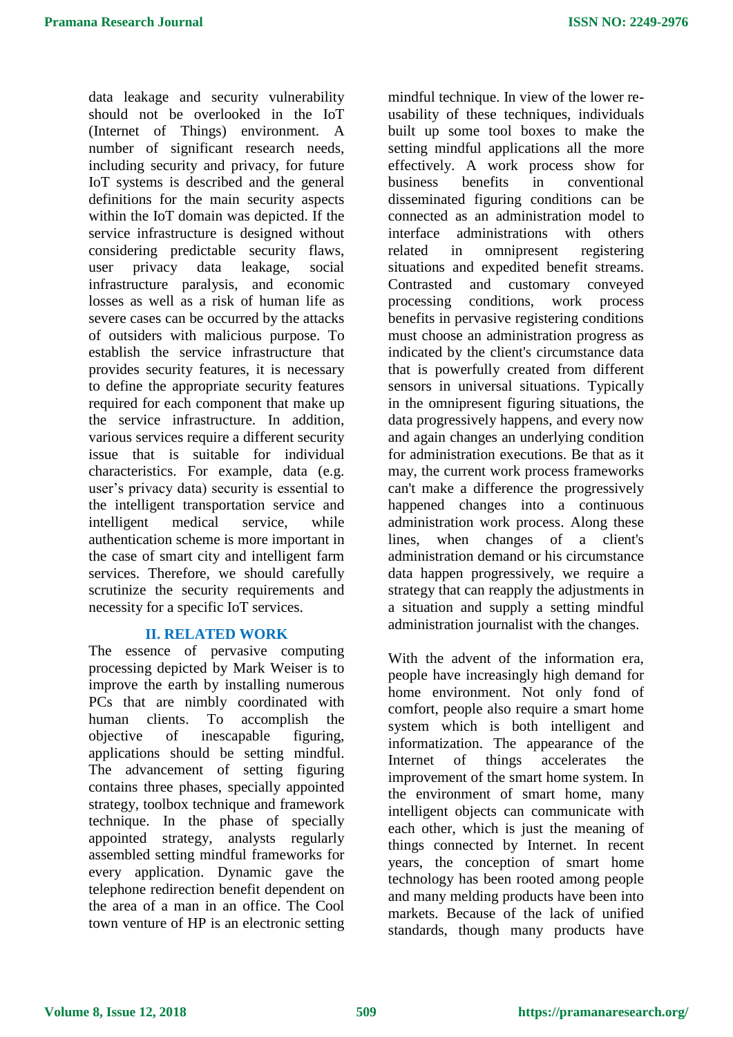data leakage and security vulnerability should not be overlooked in the IoT (Internet of Things) environment. A number of significant research needs, including security and privacy, for future IoT systems is described and the general definitions for the main security aspects within the IoT domain was depicted. If the service infrastructure is designed without considering predictable security flaws, user privacy data leakage, social infrastructure paralysis, and economic losses as well as a risk of human life as severe cases can be occurred by the attacks of outsiders with malicious purpose. To establish the service infrastructure that provides security features, it is necessary to define the appropriate security features required for each component that make up the service infrastructure. In addition, various services require a different security issue that is suitable for individual characteristics. For example, data (e.g. user's privacy data) security is essential to the intelligent transportation service and intelligent medical service, while authentication scheme is more important in the case of smart city and intelligent farm services. Therefore, we should carefully scrutinize the security requirements and necessity for a specific IoT services.

## **II. RELATED WORK**

The essence of pervasive computing processing depicted by Mark Weiser is to improve the earth by installing numerous PCs that are nimbly coordinated with human clients. To accomplish the objective of inescapable figuring, applications should be setting mindful. The advancement of setting figuring contains three phases, specially appointed strategy, toolbox technique and framework technique. In the phase of specially appointed strategy, analysts regularly assembled setting mindful frameworks for every application. Dynamic gave the telephone redirection benefit dependent on the area of a man in an office. The Cool town venture of HP is an electronic setting

mindful technique. In view of the lower reusability of these techniques, individuals built up some tool boxes to make the setting mindful applications all the more effectively. A work process show for business benefits in conventional disseminated figuring conditions can be connected as an administration model to interface administrations with others related in omnipresent registering situations and expedited benefit streams. Contrasted and customary conveyed processing conditions, work process benefits in pervasive registering conditions must choose an administration progress as indicated by the client's circumstance data that is powerfully created from different sensors in universal situations. Typically in the omnipresent figuring situations, the data progressively happens, and every now and again changes an underlying condition for administration executions. Be that as it may, the current work process frameworks can't make a difference the progressively happened changes into a continuous administration work process. Along these lines, when changes of a client's administration demand or his circumstance data happen progressively, we require a strategy that can reapply the adjustments in a situation and supply a setting mindful administration journalist with the changes.

With the advent of the information era, people have increasingly high demand for home environment. Not only fond of comfort, people also require a smart home system which is both intelligent and informatization. The appearance of the Internet of things accelerates the improvement of the smart home system. In the environment of smart home, many intelligent objects can communicate with each other, which is just the meaning of things connected by Internet. In recent years, the conception of smart home technology has been rooted among people and many melding products have been into markets. Because of the lack of unified standards, though many products have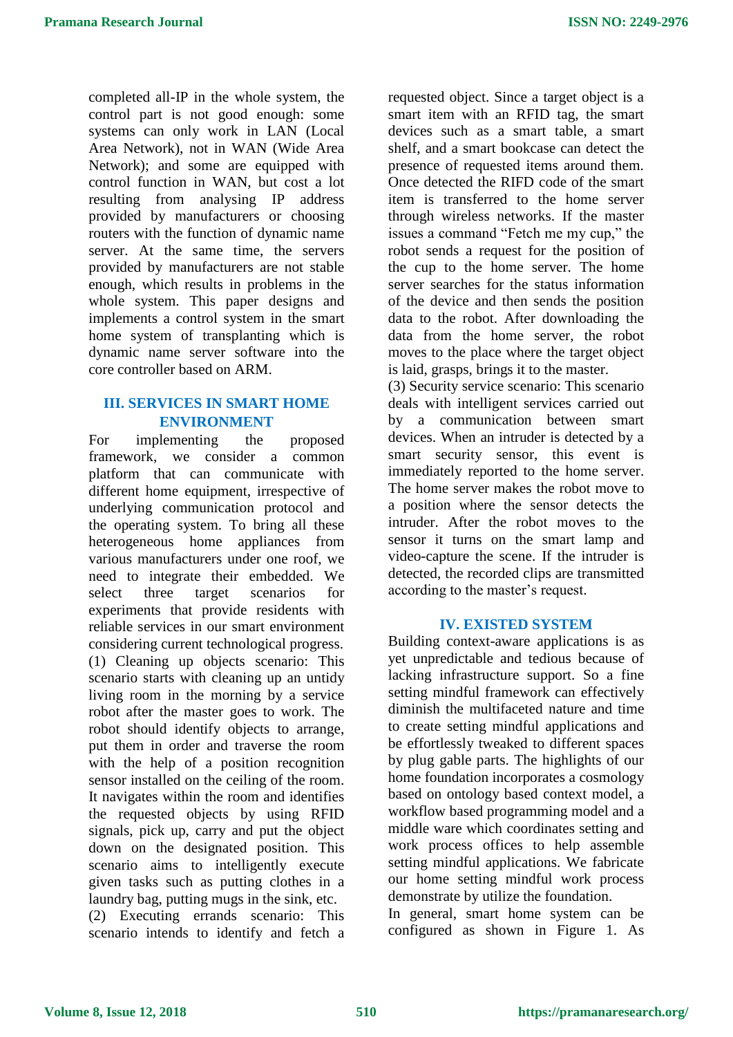completed all-IP in the whole system, the control part is not good enough: some systems can only work in LAN (Local Area Network), not in WAN (Wide Area Network); and some are equipped with control function in WAN, but cost a lot resulting from analysing IP address provided by manufacturers or choosing routers with the function of dynamic name server. At the same time, the servers provided by manufacturers are not stable enough, which results in problems in the whole system. This paper designs and implements a control system in the smart home system of transplanting which is dynamic name server software into the core controller based on ARM.

## **III. SERVICES IN SMART HOME ENVIRONMENT**

For implementing the proposed framework, we consider a common platform that can communicate with different home equipment, irrespective of underlying communication protocol and the operating system. To bring all these heterogeneous home appliances from various manufacturers under one roof, we need to integrate their embedded. We select three target scenarios for experiments that provide residents with reliable services in our smart environment considering current technological progress. (1) Cleaning up objects scenario: This scenario starts with cleaning up an untidy living room in the morning by a service robot after the master goes to work. The robot should identify objects to arrange, put them in order and traverse the room with the help of a position recognition sensor installed on the ceiling of the room. It navigates within the room and identifies the requested objects by using RFID signals, pick up, carry and put the object down on the designated position. This scenario aims to intelligently execute given tasks such as putting clothes in a laundry bag, putting mugs in the sink, etc.

(2) Executing errands scenario: This scenario intends to identify and fetch a requested object. Since a target object is a smart item with an RFID tag, the smart devices such as a smart table, a smart shelf, and a smart bookcase can detect the presence of requested items around them. Once detected the RIFD code of the smart item is transferred to the home server through wireless networks. If the master issues a command "Fetch me my cup," the robot sends a request for the position of the cup to the home server. The home server searches for the status information of the device and then sends the position data to the robot. After downloading the data from the home server, the robot moves to the place where the target object is laid, grasps, brings it to the master.

(3) Security service scenario: This scenario deals with intelligent services carried out by a communication between smart devices. When an intruder is detected by a smart security sensor, this event is immediately reported to the home server. The home server makes the robot move to a position where the sensor detects the intruder. After the robot moves to the sensor it turns on the smart lamp and video-capture the scene. If the intruder is detected, the recorded clips are transmitted according to the master's request.

## **IV. EXISTED SYSTEM**

Building context-aware applications is as yet unpredictable and tedious because of lacking infrastructure support. So a fine setting mindful framework can effectively diminish the multifaceted nature and time to create setting mindful applications and be effortlessly tweaked to different spaces by plug gable parts. The highlights of our home foundation incorporates a cosmology based on ontology based context model, a workflow based programming model and a middle ware which coordinates setting and work process offices to help assemble setting mindful applications. We fabricate our home setting mindful work process demonstrate by utilize the foundation.

In general, smart home system can be configured as shown in Figure 1. As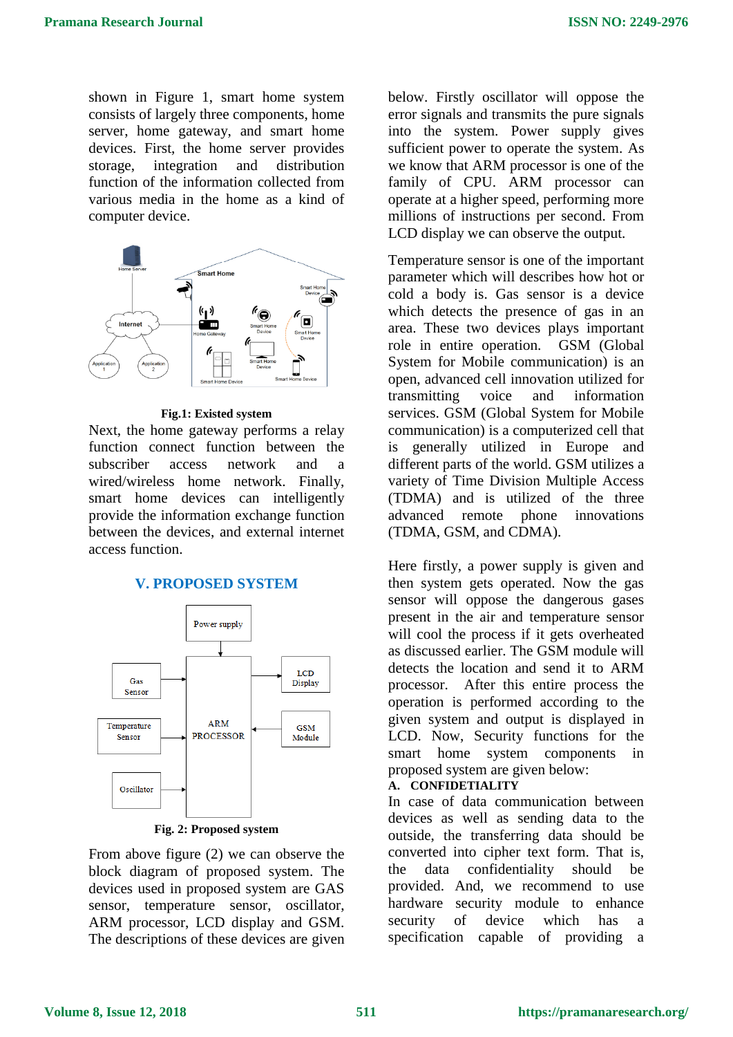shown in Figure 1, smart home system consists of largely three components, home server, home gateway, and smart home devices. First, the home server provides storage, integration and distribution function of the information collected from various media in the home as a kind of computer device.



#### **Fig.1: Existed system**

Next, the home gateway performs a relay function connect function between the subscriber access network and a wired/wireless home network. Finally, smart home devices can intelligently provide the information exchange function between the devices, and external internet access function.

## **V. PROPOSED SYSTEM**



**Fig. 2: Proposed system**

From above figure (2) we can observe the block diagram of proposed system. The devices used in proposed system are GAS sensor, temperature sensor, oscillator, ARM processor, LCD display and GSM. The descriptions of these devices are given below. Firstly oscillator will oppose the error signals and transmits the pure signals into the system. Power supply gives sufficient power to operate the system. As we know that ARM processor is one of the family of CPU. ARM processor can operate at a higher speed, performing more millions of instructions per second. From LCD display we can observe the output.

Temperature sensor is one of the important parameter which will describes how hot or cold a body is. Gas sensor is a device which detects the presence of gas in an area. These two devices plays important role in entire operation. GSM (Global System for Mobile communication) is an open, advanced cell innovation utilized for transmitting voice and information services. GSM (Global System for Mobile communication) is a computerized cell that is generally utilized in Europe and different parts of the world. GSM utilizes a variety of Time Division Multiple Access (TDMA) and is utilized of the three advanced remote phone innovations (TDMA, GSM, and CDMA).

Here firstly, a power supply is given and then system gets operated. Now the gas sensor will oppose the dangerous gases present in the air and temperature sensor will cool the process if it gets overheated as discussed earlier. The GSM module will detects the location and send it to ARM processor. After this entire process the operation is performed according to the given system and output is displayed in LCD. Now, Security functions for the smart home system components in proposed system are given below:

#### **A. CONFIDETIALITY**

In case of data communication between devices as well as sending data to the outside, the transferring data should be converted into cipher text form. That is, the data confidentiality should be provided. And, we recommend to use hardware security module to enhance security of device which has a specification capable of providing a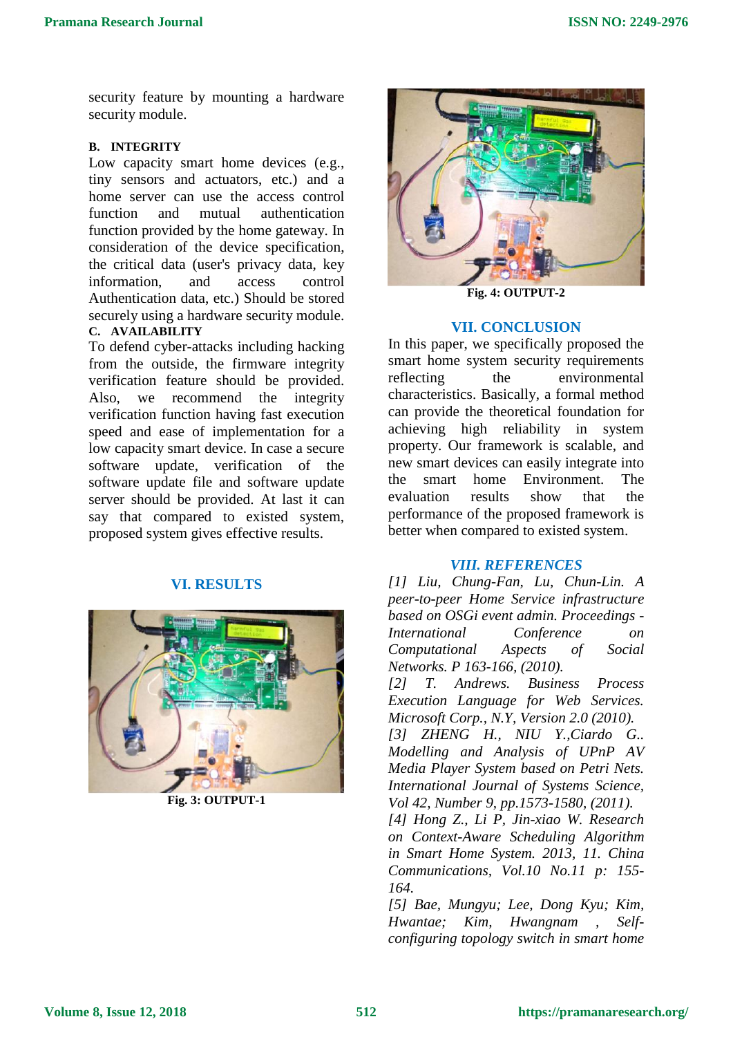security feature by mounting a hardware security module.

#### **B. INTEGRITY**

Low capacity smart home devices (e.g., tiny sensors and actuators, etc.) and a home server can use the access control function and mutual authentication function provided by the home gateway. In consideration of the device specification, the critical data (user's privacy data, key information, and access control Authentication data, etc.) Should be stored securely using a hardware security module. **C. AVAILABILITY**

To defend cyber-attacks including hacking from the outside, the firmware integrity verification feature should be provided. Also, we recommend the integrity verification function having fast execution speed and ease of implementation for a low capacity smart device. In case a secure software update, verification of the software update file and software update server should be provided. At last it can say that compared to existed system, proposed system gives effective results.

## **VI. RESULTS**



**Fig. 3: OUTPUT-1**



**Fig. 4: OUTPUT-2**

#### **VII. CONCLUSION**

In this paper, we specifically proposed the smart home system security requirements reflecting the environmental characteristics. Basically, a formal method can provide the theoretical foundation for achieving high reliability in system property. Our framework is scalable, and new smart devices can easily integrate into the smart home Environment. The evaluation results show that the performance of the proposed framework is better when compared to existed system.

## *VIII. REFERENCES*

*[1] Liu, Chung-Fan, Lu, Chun-Lin. A peer-to-peer Home Service infrastructure based on OSGi event admin. Proceedings - International Conference on Computational Aspects of Social Networks. P 163-166, (2010). [2] T. Andrews. Business Process Execution Language for Web Services. Microsoft Corp., N.Y, Version 2.0 (2010). [3] ZHENG H., NIU Y.,Ciardo G.. Modelling and Analysis of UPnP AV Media Player System based on Petri Nets. International Journal of Systems Science, Vol 42, Number 9, pp.1573-1580, (2011). [4] Hong Z., Li P, Jin-xiao W. Research on Context-Aware Scheduling Algorithm in Smart Home System. 2013, 11. China Communications, Vol.10 No.11 p: 155-*

*[5] Bae, Mungyu; Lee, Dong Kyu; Kim, Hwantae; Kim, Hwangnam , Selfconfiguring topology switch in smart home* 

*164.*